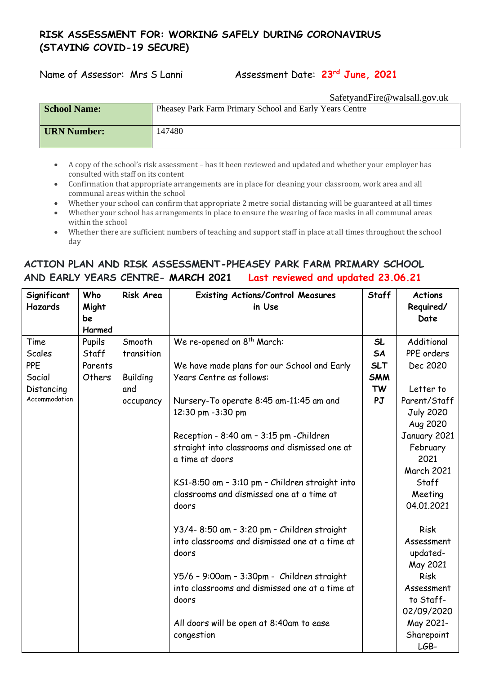## **RISK ASSESSMENT FOR: WORKING SAFELY DURING CORONAVIRUS (STAYING COVID-19 SECURE)**

Name of Assessor: Mrs S Lanni Assessment Date: **23rd June, 2021**

SafetyandFire@walsall.gov.uk **School Name:** Pheasey Park Farm Primary School and Early Years Centre **IIRN Number:** 147480

- A copy of the school's risk assessment has it been reviewed and updated and whether your employer has consulted with staff on its content
- Confirmation that appropriate arrangements are in place for cleaning your classroom, work area and all communal areas within the school
- Whether your school can confirm that appropriate 2 metre social distancing will be guaranteed at all times
- Whether your school has arrangements in place to ensure the wearing of face masks in all communal areas within the school
- Whether there are sufficient numbers of teaching and support staff in place at all times throughout the school day

## **ACTION PLAN AND RISK ASSESSMENT-PHEASEY PARK FARM PRIMARY SCHOOL AND EARLY YEARS CENTRE- MARCH 2021 Last reviewed and updated 23.06.21**

| Significant    | Who     | Risk Area       | <b>Existing Actions/Control Measures</b>       | <b>Staff</b> | <b>Actions</b>    |
|----------------|---------|-----------------|------------------------------------------------|--------------|-------------------|
| <b>Hazards</b> | Might   |                 | in Use                                         |              | Required/         |
|                | be      |                 |                                                |              | Date              |
|                | Harmed  |                 |                                                |              |                   |
| Time           | Pupils  | Smooth          | We re-opened on 8 <sup>th</sup> March:         | <b>SL</b>    | Additional        |
| Scales         | Staff   | transition      |                                                | <b>SA</b>    | PPE orders        |
| <b>PPE</b>     | Parents |                 | We have made plans for our School and Early    | <b>SLT</b>   | Dec 2020          |
| Social         | Others  | <b>Building</b> | Years Centre as follows:                       | <b>SMM</b>   |                   |
| Distancing     |         | and             |                                                | <b>TW</b>    | Letter to         |
| Accommodation  |         | occupancy       | Nursery-To operate 8:45 am-11:45 am and        | PJ           | Parent/Staff      |
|                |         |                 | 12:30 pm -3:30 pm                              |              | <b>July 2020</b>  |
|                |         |                 |                                                |              | Aug 2020          |
|                |         |                 | Reception - 8:40 am - 3:15 pm -Children        |              | January 2021      |
|                |         |                 | straight into classrooms and dismissed one at  |              | February          |
|                |         |                 | a time at doors                                |              | 2021              |
|                |         |                 |                                                |              | <b>March 2021</b> |
|                |         |                 | KS1-8:50 am - 3:10 pm - Children straight into |              | Staff             |
|                |         |                 | classrooms and dismissed one at a time at      |              | Meeting           |
|                |         |                 | doors                                          |              | 04.01.2021        |
|                |         |                 |                                                |              |                   |
|                |         |                 | Y3/4-8:50 am - 3:20 pm - Children straight     |              | Risk              |
|                |         |                 | into classrooms and dismissed one at a time at |              | Assessment        |
|                |         |                 | doors                                          |              | updated-          |
|                |         |                 |                                                |              | May 2021          |
|                |         |                 | Y5/6 - 9:00am - 3:30pm - Children straight     |              | <b>Risk</b>       |
|                |         |                 | into classrooms and dismissed one at a time at |              | Assessment        |
|                |         |                 | doors                                          |              | to Staff-         |
|                |         |                 |                                                |              | 02/09/2020        |
|                |         |                 | All doors will be open at 8:40am to ease       |              | May 2021-         |
|                |         |                 | congestion                                     |              | Sharepoint        |
|                |         |                 |                                                |              | LGB-              |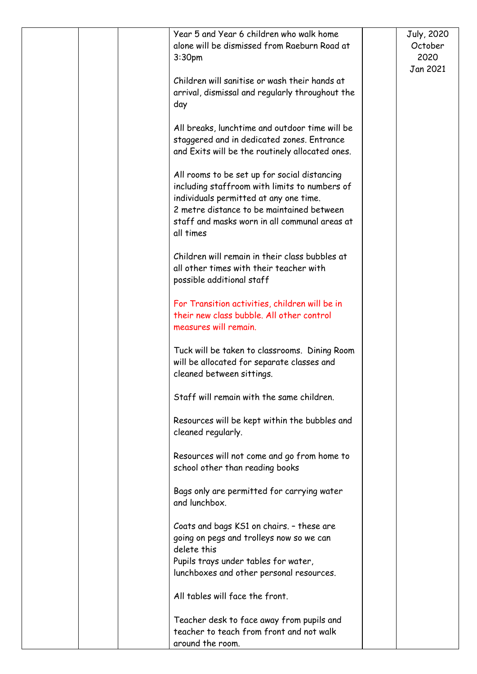| Year 5 and Year 6 children who walk home<br>alone will be dismissed from Raeburn Road at<br>3:30pm                                                                                                                                                 | July, 2020<br>October<br>2020<br>Jan 2021 |
|----------------------------------------------------------------------------------------------------------------------------------------------------------------------------------------------------------------------------------------------------|-------------------------------------------|
| Children will sanitise or wash their hands at<br>arrival, dismissal and regularly throughout the<br>day                                                                                                                                            |                                           |
| All breaks, lunchtime and outdoor time will be<br>staggered and in dedicated zones. Entrance<br>and Exits will be the routinely allocated ones.                                                                                                    |                                           |
| All rooms to be set up for social distancing<br>including staffroom with limits to numbers of<br>individuals permitted at any one time.<br>2 metre distance to be maintained between<br>staff and masks worn in all communal areas at<br>all times |                                           |
| Children will remain in their class bubbles at<br>all other times with their teacher with<br>possible additional staff                                                                                                                             |                                           |
| For Transition activities, children will be in<br>their new class bubble. All other control<br>measures will remain.                                                                                                                               |                                           |
| Tuck will be taken to classrooms. Dining Room<br>will be allocated for separate classes and<br>cleaned between sittings.                                                                                                                           |                                           |
| Staff will remain with the same children.                                                                                                                                                                                                          |                                           |
| Resources will be kept within the bubbles and<br>cleaned regularly.                                                                                                                                                                                |                                           |
| Resources will not come and go from home to<br>school other than reading books                                                                                                                                                                     |                                           |
| Bags only are permitted for carrying water<br>and lunchbox.                                                                                                                                                                                        |                                           |
| Coats and bags KS1 on chairs. - these are<br>going on pegs and trolleys now so we can<br>delete this                                                                                                                                               |                                           |
| Pupils trays under tables for water,<br>lunchboxes and other personal resources.                                                                                                                                                                   |                                           |
| All tables will face the front.                                                                                                                                                                                                                    |                                           |
| Teacher desk to face away from pupils and<br>teacher to teach from front and not walk<br>around the room.                                                                                                                                          |                                           |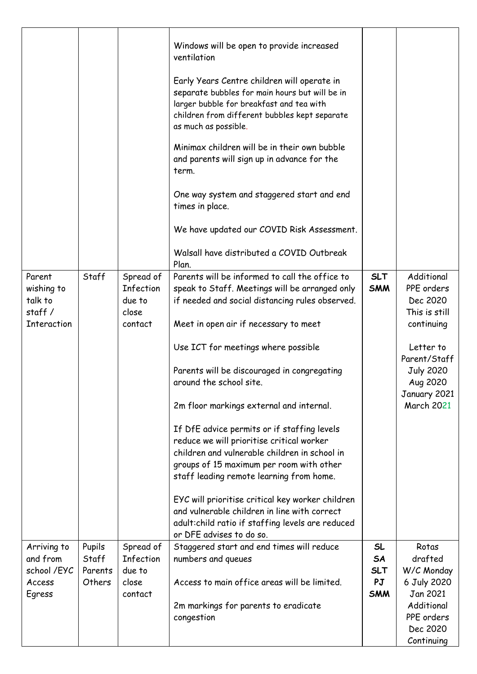|                                                                 |                                      |                                                      | Windows will be open to provide increased<br>ventilation<br>Early Years Centre children will operate in<br>separate bubbles for main hours but will be in<br>larger bubble for breakfast and tea with<br>children from different bubbles kept separate<br>as much as possible.<br>Minimax children will be in their own bubble<br>and parents will sign up in advance for the<br>term.<br>One way system and staggered start and end<br>times in place.<br>We have updated our COVID Risk Assessment.<br>Walsall have distributed a COVID Outbreak<br>Plan.                                                                                                                                                                                                                         |                                            |                                                                                                                                                                       |
|-----------------------------------------------------------------|--------------------------------------|------------------------------------------------------|-------------------------------------------------------------------------------------------------------------------------------------------------------------------------------------------------------------------------------------------------------------------------------------------------------------------------------------------------------------------------------------------------------------------------------------------------------------------------------------------------------------------------------------------------------------------------------------------------------------------------------------------------------------------------------------------------------------------------------------------------------------------------------------|--------------------------------------------|-----------------------------------------------------------------------------------------------------------------------------------------------------------------------|
| Parent<br>wishing to<br>talk to<br>staff/<br><b>Interaction</b> | Staff                                | Spread of<br>Infection<br>due to<br>close<br>contact | Parents will be informed to call the office to<br>speak to Staff. Meetings will be arranged only<br>if needed and social distancing rules observed.<br>Meet in open air if necessary to meet<br>Use ICT for meetings where possible<br>Parents will be discouraged in congregating<br>around the school site.<br>2m floor markings external and internal.<br>If DfE advice permits or if staffing levels<br>reduce we will prioritise critical worker<br>children and vulnerable children in school in<br>groups of 15 maximum per room with other<br>staff leading remote learning from home.<br>EYC will prioritise critical key worker children<br>and vulnerable children in line with correct<br>adult: child ratio if staffing levels are reduced<br>or DFE advises to do so. | <b>SLT</b><br><b>SMM</b>                   | Additional<br>PPE orders<br>Dec 2020<br>This is still<br>continuing<br>Letter to<br>Parent/Staff<br><b>July 2020</b><br>Aug 2020<br>January 2021<br><b>March 2021</b> |
| Arriving to<br>and from<br>school /EYC<br>Access<br>Egress      | Pupils<br>Staff<br>Parents<br>Others | Spread of<br>Infection<br>due to<br>close<br>contact | Staggered start and end times will reduce<br>numbers and queues<br>Access to main office areas will be limited.<br>2m markings for parents to eradicate<br>congestion                                                                                                                                                                                                                                                                                                                                                                                                                                                                                                                                                                                                               | SL<br>SA<br><b>SLT</b><br>PJ<br><b>SMM</b> | Rotas<br>drafted<br>W/C Monday<br>6 July 2020<br>Jan 2021<br>Additional<br>PPE orders<br>Dec 2020<br>Continuing                                                       |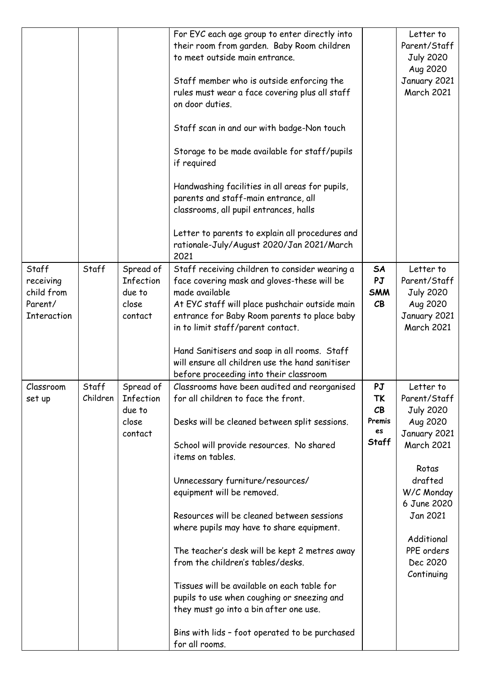|                                                            |                   |                                                      | For EYC each age group to enter directly into<br>their room from garden. Baby Room children<br>to meet outside main entrance.<br>Staff member who is outside enforcing the<br>rules must wear a face covering plus all staff<br>on door duties.<br>Staff scan in and our with badge-Non touch<br>Storage to be made available for staff/pupils<br>if required<br>Handwashing facilities in all areas for pupils,<br>parents and staff-main entrance, all<br>classrooms, all pupil entrances, halls<br>Letter to parents to explain all procedures and<br>rationale-July/August 2020/Jan 2021/March<br>2021                                                          |                                         | Letter to<br>Parent/Staff<br><b>July 2020</b><br>Aug 2020<br>January 2021<br><b>March 2021</b>                                                                                                                    |
|------------------------------------------------------------|-------------------|------------------------------------------------------|---------------------------------------------------------------------------------------------------------------------------------------------------------------------------------------------------------------------------------------------------------------------------------------------------------------------------------------------------------------------------------------------------------------------------------------------------------------------------------------------------------------------------------------------------------------------------------------------------------------------------------------------------------------------|-----------------------------------------|-------------------------------------------------------------------------------------------------------------------------------------------------------------------------------------------------------------------|
| Staff<br>receiving<br>child from<br>Parent/<br>Interaction | Staff             | Spread of<br>Infection<br>due to<br>close<br>contact | Staff receiving children to consider wearing a<br>face covering mask and gloves-these will be<br>made available<br>At EYC staff will place pushchair outside main<br>entrance for Baby Room parents to place baby<br>in to limit staff/parent contact.<br>Hand Sanitisers and soap in all rooms. Staff<br>will ensure all children use the hand sanitiser<br>before proceeding into their classroom                                                                                                                                                                                                                                                                 | <b>SA</b><br>PJ<br><b>SMM</b><br>CB     | Letter to<br>Parent/Staff<br><b>July 2020</b><br>Aug 2020<br>January 2021<br><b>March 2021</b>                                                                                                                    |
| Classroom<br>set up                                        | Staff<br>Children | Spread of<br>Infection<br>due to<br>close<br>contact | Classrooms have been audited and reorganised<br>for all children to face the front.<br>Desks will be cleaned between split sessions.<br>School will provide resources. No shared<br>items on tables.<br>Unnecessary furniture/resources/<br>equipment will be removed.<br>Resources will be cleaned between sessions<br>where pupils may have to share equipment.<br>The teacher's desk will be kept 2 metres away<br>from the children's tables/desks.<br>Tissues will be available on each table for<br>pupils to use when coughing or sneezing and<br>they must go into a bin after one use.<br>Bins with lids - foot operated to be purchased<br>for all rooms. | PJ<br>TK<br>CB<br>Premis<br>es<br>Staff | Letter to<br>Parent/Staff<br><b>July 2020</b><br>Aug 2020<br>January 2021<br><b>March 2021</b><br>Rotas<br>drafted<br>W/C Monday<br>6 June 2020<br>Jan 2021<br>Additional<br>PPE orders<br>Dec 2020<br>Continuing |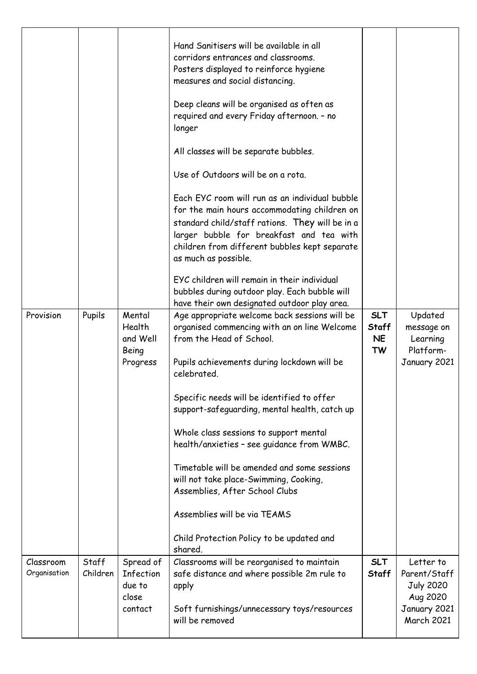| Provision                 | Pupils            | Mental<br>Health<br>and Well<br>Being<br>Progress | Hand Sanitisers will be available in all<br>corridors entrances and classrooms.<br>Posters displayed to reinforce hygiene<br>measures and social distancing.<br>Deep cleans will be organised as often as<br>required and every Friday afternoon. - no<br>longer<br>All classes will be separate bubbles.<br>Use of Outdoors will be on a rota.<br>Each EYC room will run as an individual bubble<br>for the main hours accommodating children on<br>standard child/staff rations. They will be in a<br>larger bubble for breakfast and tea with<br>children from different bubbles kept separate<br>as much as possible.<br>EYC children will remain in their individual<br>bubbles during outdoor play. Each bubble will<br>have their own designated outdoor play area.<br>Age appropriate welcome back sessions will be<br>organised commencing with an on line Welcome<br>from the Head of School.<br>Pupils achievements during lockdown will be<br>celebrated.<br>Specific needs will be identified to offer<br>support-safequarding, mental health, catch up<br>Whole class sessions to support mental<br>health/anxieties - see guidance from WMBC.<br>Timetable will be amended and some sessions<br>will not take place-Swimming, Cooking,<br>Assemblies, After School Clubs<br>Assemblies will be via TEAMS<br>Child Protection Policy to be updated and | <b>SLT</b><br><b>Staff</b><br><b>NE</b><br><b>TW</b> | Updated<br>message on<br>Learning<br>Platform-<br>January 2021    |
|---------------------------|-------------------|---------------------------------------------------|----------------------------------------------------------------------------------------------------------------------------------------------------------------------------------------------------------------------------------------------------------------------------------------------------------------------------------------------------------------------------------------------------------------------------------------------------------------------------------------------------------------------------------------------------------------------------------------------------------------------------------------------------------------------------------------------------------------------------------------------------------------------------------------------------------------------------------------------------------------------------------------------------------------------------------------------------------------------------------------------------------------------------------------------------------------------------------------------------------------------------------------------------------------------------------------------------------------------------------------------------------------------------------------------------------------------------------------------------------------------|------------------------------------------------------|-------------------------------------------------------------------|
| Classroom<br>Organisation | Staff<br>Children | Spread of<br>Infection                            | shared.<br>Classrooms will be reorganised to maintain<br>safe distance and where possible 2m rule to                                                                                                                                                                                                                                                                                                                                                                                                                                                                                                                                                                                                                                                                                                                                                                                                                                                                                                                                                                                                                                                                                                                                                                                                                                                                 | <b>SLT</b><br><b>Staff</b>                           | Letter to<br>Parent/Staff                                         |
|                           |                   | due to<br>close<br>contact                        | apply<br>Soft furnishings/unnecessary toys/resources<br>will be removed                                                                                                                                                                                                                                                                                                                                                                                                                                                                                                                                                                                                                                                                                                                                                                                                                                                                                                                                                                                                                                                                                                                                                                                                                                                                                              |                                                      | <b>July 2020</b><br>Aug 2020<br>January 2021<br><b>March 2021</b> |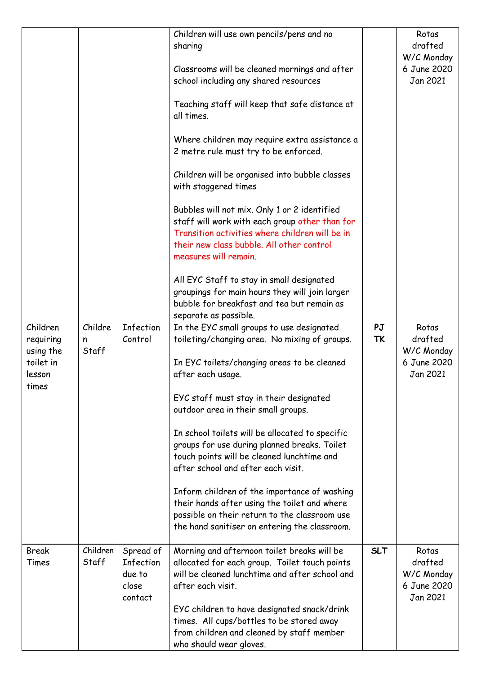|                                                 |                       |                                                      | Children will use own pencils/pens and no<br>sharing                                                                                                                                                                    |                 | Rotas<br>drafted<br>W/C Monday                            |
|-------------------------------------------------|-----------------------|------------------------------------------------------|-------------------------------------------------------------------------------------------------------------------------------------------------------------------------------------------------------------------------|-----------------|-----------------------------------------------------------|
|                                                 |                       |                                                      | Classrooms will be cleaned mornings and after<br>school including any shared resources                                                                                                                                  |                 | 6 June 2020<br>Jan 2021                                   |
|                                                 |                       |                                                      | Teaching staff will keep that safe distance at<br>all times.                                                                                                                                                            |                 |                                                           |
|                                                 |                       |                                                      | Where children may require extra assistance a<br>2 metre rule must try to be enforced.                                                                                                                                  |                 |                                                           |
|                                                 |                       |                                                      | Children will be organised into bubble classes<br>with staggered times                                                                                                                                                  |                 |                                                           |
|                                                 |                       |                                                      | Bubbles will not mix. Only 1 or 2 identified<br>staff will work with each group other than for<br>Transition activities where children will be in<br>their new class bubble. All other control<br>measures will remain. |                 |                                                           |
|                                                 |                       |                                                      | All EYC Staff to stay in small designated<br>groupings for main hours they will join larger<br>bubble for breakfast and tea but remain as<br>separate as possible.                                                      |                 |                                                           |
| Children<br>requiring<br>using the<br>toilet in | Childre<br>n<br>Staff | Infection<br>Control                                 | In the EYC small groups to use designated<br>toileting/changing area. No mixing of groups.<br>In EYC toilets/changing areas to be cleaned                                                                               | PJ<br><b>TK</b> | Rotas<br>drafted<br>W/C Monday<br>6 June 2020             |
| lesson<br>times                                 |                       |                                                      | after each usage.                                                                                                                                                                                                       |                 | Jan 2021                                                  |
|                                                 |                       |                                                      | EYC staff must stay in their designated<br>outdoor area in their small groups.                                                                                                                                          |                 |                                                           |
|                                                 |                       |                                                      | In school toilets will be allocated to specific<br>groups for use during planned breaks. Toilet<br>touch points will be cleaned lunchtime and<br>after school and after each visit.                                     |                 |                                                           |
|                                                 |                       |                                                      | Inform children of the importance of washing<br>their hands after using the toilet and where<br>possible on their return to the classroom use<br>the hand sanitiser on entering the classroom.                          |                 |                                                           |
| <b>Break</b><br>Times                           | Children<br>Staff     | Spread of<br>Infection<br>due to<br>close<br>contact | Morning and afternoon toilet breaks will be<br>allocated for each group. Toilet touch points<br>will be cleaned lunchtime and after school and<br>after each visit.                                                     | <b>SLT</b>      | Rotas<br>drafted<br>W/C Monday<br>6 June 2020<br>Jan 2021 |
|                                                 |                       |                                                      | EYC children to have designated snack/drink<br>times. All cups/bottles to be stored away<br>from children and cleaned by staff member<br>who should wear gloves.                                                        |                 |                                                           |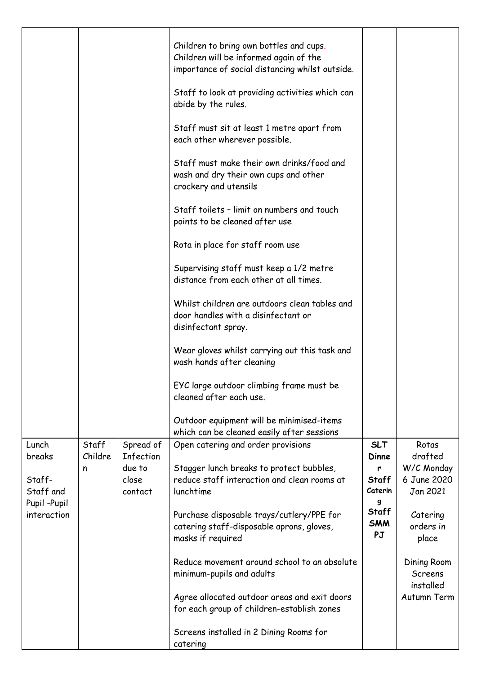|                                      |                  |                            | Children to bring own bottles and cups.<br>Children will be informed again of the<br>importance of social distancing whilst outside.<br>Staff to look at providing activities which can<br>abide by the rules.<br>Staff must sit at least 1 metre apart from<br>each other wherever possible.<br>Staff must make their own drinks/food and<br>wash and dry their own cups and other<br>crockery and utensils<br>Staff toilets - limit on numbers and touch<br>points to be cleaned after use<br>Rota in place for staff room use |                            |                                       |
|--------------------------------------|------------------|----------------------------|----------------------------------------------------------------------------------------------------------------------------------------------------------------------------------------------------------------------------------------------------------------------------------------------------------------------------------------------------------------------------------------------------------------------------------------------------------------------------------------------------------------------------------|----------------------------|---------------------------------------|
|                                      |                  |                            | Supervising staff must keep a 1/2 metre<br>distance from each other at all times.                                                                                                                                                                                                                                                                                                                                                                                                                                                |                            |                                       |
|                                      |                  |                            | Whilst children are outdoors clean tables and<br>door handles with a disinfectant or<br>disinfectant spray.                                                                                                                                                                                                                                                                                                                                                                                                                      |                            |                                       |
|                                      |                  |                            | Wear gloves whilst carrying out this task and<br>wash hands after cleaning                                                                                                                                                                                                                                                                                                                                                                                                                                                       |                            |                                       |
|                                      |                  |                            | EYC large outdoor climbing frame must be<br>cleaned after each use.                                                                                                                                                                                                                                                                                                                                                                                                                                                              |                            |                                       |
|                                      |                  |                            | Outdoor equipment will be minimised-items<br>which can be cleaned easily after sessions                                                                                                                                                                                                                                                                                                                                                                                                                                          |                            |                                       |
| Lunch<br>breaks                      | Staff<br>Childre | Spread of<br>Infection     | Open catering and order provisions                                                                                                                                                                                                                                                                                                                                                                                                                                                                                               | <b>SLT</b><br>Dinne        | Rotas<br>drafted                      |
| Staff-<br>Staff and<br>Pupil - Pupil | n                | due to<br>close<br>contact | Stagger lunch breaks to protect bubbles,<br>reduce staff interaction and clean rooms at<br>lunchtime                                                                                                                                                                                                                                                                                                                                                                                                                             | r<br>Staff<br>Caterin<br>g | W/C Monday<br>6 June 2020<br>Jan 2021 |
| interaction                          |                  |                            | Purchase disposable trays/cutlery/PPE for<br>catering staff-disposable aprons, gloves,<br>masks if required                                                                                                                                                                                                                                                                                                                                                                                                                      | Staff<br><b>SMM</b><br>PJ  | Catering<br>orders in<br>place        |
|                                      |                  |                            | Reduce movement around school to an absolute<br>minimum-pupils and adults                                                                                                                                                                                                                                                                                                                                                                                                                                                        |                            | Dining Room<br>Screens<br>installed   |
|                                      |                  |                            | Agree allocated outdoor areas and exit doors<br>for each group of children-establish zones                                                                                                                                                                                                                                                                                                                                                                                                                                       |                            | Autumn Term                           |
|                                      |                  |                            | Screens installed in 2 Dining Rooms for<br>catering                                                                                                                                                                                                                                                                                                                                                                                                                                                                              |                            |                                       |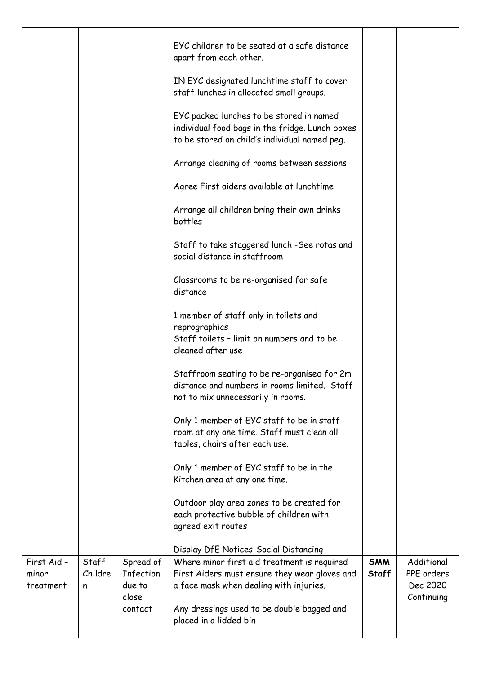|                                   |                       |                                           | EYC children to be seated at a safe distance<br>apart from each other.<br>IN EYC designated lunchtime staff to cover<br>staff lunches in allocated small groups. |                            |                                                    |
|-----------------------------------|-----------------------|-------------------------------------------|------------------------------------------------------------------------------------------------------------------------------------------------------------------|----------------------------|----------------------------------------------------|
|                                   |                       |                                           | EYC packed lunches to be stored in named<br>individual food bags in the fridge. Lunch boxes<br>to be stored on child's individual named peg.                     |                            |                                                    |
|                                   |                       |                                           | Arrange cleaning of rooms between sessions                                                                                                                       |                            |                                                    |
|                                   |                       |                                           | Agree First aiders available at lunchtime                                                                                                                        |                            |                                                    |
|                                   |                       |                                           | Arrange all children bring their own drinks<br>bottles                                                                                                           |                            |                                                    |
|                                   |                       |                                           | Staff to take staggered lunch -See rotas and<br>social distance in staffroom                                                                                     |                            |                                                    |
|                                   |                       |                                           | Classrooms to be re-organised for safe<br>distance                                                                                                               |                            |                                                    |
|                                   |                       |                                           | 1 member of staff only in toilets and<br>reprographics<br>Staff toilets - limit on numbers and to be<br>cleaned after use                                        |                            |                                                    |
|                                   |                       |                                           | Staffroom seating to be re-organised for 2m<br>distance and numbers in rooms limited. Staff<br>not to mix unnecessarily in rooms.                                |                            |                                                    |
|                                   |                       |                                           | Only 1 member of EYC staff to be in staff<br>room at any one time. Staff must clean all<br>tables, chairs after each use.                                        |                            |                                                    |
|                                   |                       |                                           | Only 1 member of EYC staff to be in the<br>Kitchen area at any one time.                                                                                         |                            |                                                    |
|                                   |                       |                                           | Outdoor play area zones to be created for<br>each protective bubble of children with<br>agreed exit routes                                                       |                            |                                                    |
|                                   |                       |                                           | Display DfE Notices-Social Distancing                                                                                                                            |                            |                                                    |
| First Aid -<br>minor<br>treatment | Staff<br>Childre<br>n | Spread of<br>Infection<br>due to<br>close | Where minor first aid treatment is required<br>First Aiders must ensure they wear gloves and<br>a face mask when dealing with injuries.                          | <b>SMM</b><br><b>Staff</b> | Additional<br>PPE orders<br>Dec 2020<br>Continuing |
|                                   |                       | contact                                   | Any dressings used to be double bagged and<br>placed in a lidded bin                                                                                             |                            |                                                    |
|                                   |                       |                                           |                                                                                                                                                                  |                            |                                                    |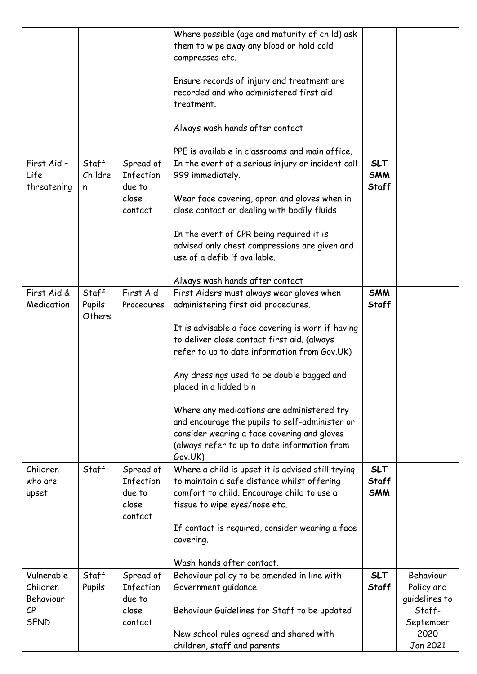|                                                                                |                           |                                                             | Where possible (age and maturity of child) ask<br>them to wipe away any blood or hold cold<br>compresses etc.<br>Ensure records of injury and treatment are<br>recorded and who administered first aid<br>treatment.<br>Always wash hands after contact<br>PPE is available in classrooms and main office.                                                                                                                                                                                                             |                                          |                                                                                     |
|--------------------------------------------------------------------------------|---------------------------|-------------------------------------------------------------|------------------------------------------------------------------------------------------------------------------------------------------------------------------------------------------------------------------------------------------------------------------------------------------------------------------------------------------------------------------------------------------------------------------------------------------------------------------------------------------------------------------------|------------------------------------------|-------------------------------------------------------------------------------------|
| First Aid -<br>Life<br>threatening                                             | Staff<br>Childre<br>n     | Spread of<br><b>Infection</b><br>due to<br>close<br>contact | In the event of a serious injury or incident call<br>999 immediately.<br>Wear face covering, apron and gloves when in<br>close contact or dealing with bodily fluids<br>In the event of CPR being required it is<br>advised only chest compressions are given and<br>use of a defib if available.<br>Always wash hands after contact                                                                                                                                                                                   | <b>SLT</b><br><b>SMM</b><br><b>Staff</b> |                                                                                     |
| First Aid &<br>Medication                                                      | Staff<br>Pupils<br>Others | First Aid<br>Procedures                                     | First Aiders must always wear gloves when<br>administering first aid procedures.<br>It is advisable a face covering is worn if having<br>to deliver close contact first aid. (always<br>refer to up to date information from Gov.UK)<br>Any dressings used to be double bagged and<br>placed in a lidded bin<br>Where any medications are administered try<br>and encourage the pupils to self-administer or<br>consider wearing a face covering and gloves<br>(always refer to up to date information from<br>Gov.UK) | <b>SMM</b><br>Staff                      |                                                                                     |
| Children<br>who are<br>upset                                                   | Staff                     | Spread of<br><b>Infection</b><br>due to<br>close<br>contact | Where a child is upset it is advised still trying<br>to maintain a safe distance whilst offering<br>comfort to child. Encourage child to use a<br>tissue to wipe eyes/nose etc.<br>If contact is required, consider wearing a face<br>covering.<br>Wash hands after contact.                                                                                                                                                                                                                                           | <b>SLT</b><br><b>Staff</b><br><b>SMM</b> |                                                                                     |
| Vulnerable<br>Children<br>Behaviour<br>$\mathcal{C} \mathsf{P}$<br><b>SEND</b> | Staff<br>Pupils           | Spread of<br><b>Infection</b><br>due to<br>close<br>contact | Behaviour policy to be amended in line with<br>Government guidance<br>Behaviour Guidelines for Staff to be updated<br>New school rules agreed and shared with<br>children, staff and parents                                                                                                                                                                                                                                                                                                                           | <b>SLT</b><br><b>Staff</b>               | Behaviour<br>Policy and<br>guidelines to<br>Staff-<br>September<br>2020<br>Jan 2021 |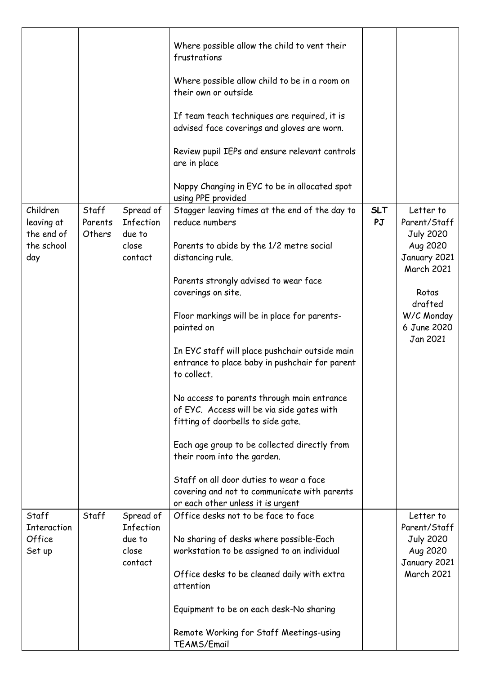|                                                           |                            |                                                             | Where possible allow the child to vent their<br>frustrations<br>Where possible allow child to be in a room on<br>their own or outside<br>If team teach techniques are required, it is<br>advised face coverings and gloves are worn.<br>Review pupil IEPs and ensure relevant controls<br>are in place<br>Nappy Changing in EYC to be in allocated spot                                                                                                                                                                                                                                                                                                                                                                                                 |                  |                                                                                                                                                             |
|-----------------------------------------------------------|----------------------------|-------------------------------------------------------------|---------------------------------------------------------------------------------------------------------------------------------------------------------------------------------------------------------------------------------------------------------------------------------------------------------------------------------------------------------------------------------------------------------------------------------------------------------------------------------------------------------------------------------------------------------------------------------------------------------------------------------------------------------------------------------------------------------------------------------------------------------|------------------|-------------------------------------------------------------------------------------------------------------------------------------------------------------|
| Children<br>leaving at<br>the end of<br>the school<br>day | Staff<br>Parents<br>Others | Spread of<br><b>Infection</b><br>due to<br>close<br>contact | using PPE provided<br>Stagger leaving times at the end of the day to<br>reduce numbers<br>Parents to abide by the 1/2 metre social<br>distancing rule.<br>Parents strongly advised to wear face<br>coverings on site.<br>Floor markings will be in place for parents-<br>painted on<br>In EYC staff will place pushchair outside main<br>entrance to place baby in pushchair for parent<br>to collect.<br>No access to parents through main entrance<br>of EYC. Access will be via side gates with<br>fitting of doorbells to side gate.<br>Each age group to be collected directly from<br>their room into the garden.<br>Staff on all door duties to wear a face<br>covering and not to communicate with parents<br>or each other unless it is urgent | <b>SLT</b><br>PJ | Letter to<br>Parent/Staff<br><b>July 2020</b><br>Aug 2020<br>January 2021<br><b>March 2021</b><br>Rotas<br>drafted<br>W/C Monday<br>6 June 2020<br>Jan 2021 |
| Staff<br>Interaction<br>Office<br>Set up                  | Staff                      | Spread of<br>Infection<br>due to<br>close<br>contact        | Office desks not to be face to face<br>No sharing of desks where possible-Each<br>workstation to be assigned to an individual<br>Office desks to be cleaned daily with extra<br>attention<br>Equipment to be on each desk-No sharing<br>Remote Working for Staff Meetings-using<br>TEAMS/Email                                                                                                                                                                                                                                                                                                                                                                                                                                                          |                  | Letter to<br>Parent/Staff<br><b>July 2020</b><br>Aug 2020<br>January 2021<br><b>March 2021</b>                                                              |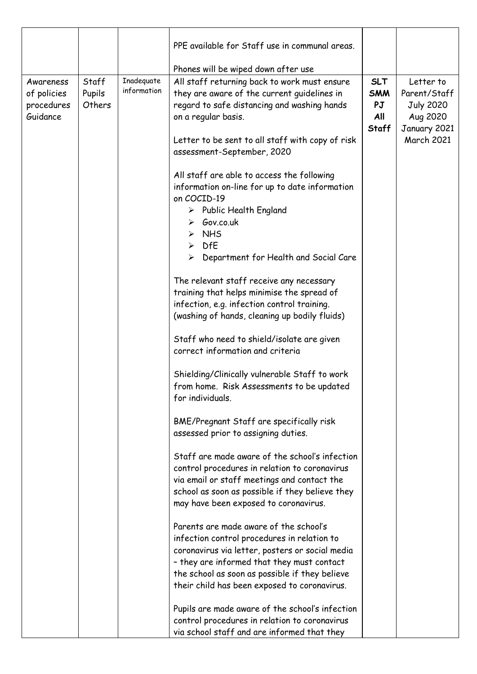|                                                    |                           |                           | PPE available for Staff use in communal areas.                                                                                                                                                                                             |                                                |                                                                           |
|----------------------------------------------------|---------------------------|---------------------------|--------------------------------------------------------------------------------------------------------------------------------------------------------------------------------------------------------------------------------------------|------------------------------------------------|---------------------------------------------------------------------------|
|                                                    |                           |                           | Phones will be wiped down after use                                                                                                                                                                                                        |                                                |                                                                           |
| Awareness<br>of policies<br>procedures<br>Guidance | Staff<br>Pupils<br>Others | Inadequate<br>information | All staff returning back to work must ensure<br>they are aware of the current guidelines in<br>regard to safe distancing and washing hands<br>on a regular basis.                                                                          | <b>SLT</b><br><b>SMM</b><br>PJ<br>All<br>Staff | Letter to<br>Parent/Staff<br><b>July 2020</b><br>Aug 2020<br>January 2021 |
|                                                    |                           |                           | Letter to be sent to all staff with copy of risk<br>assessment-September, 2020                                                                                                                                                             |                                                | <b>March 2021</b>                                                         |
|                                                    |                           |                           | All staff are able to access the following<br>information on-line for up to date information<br>on COCID-19<br>$\triangleright$ Public Health England<br>$\triangleright$ Gov.co.uk<br>$\triangleright$ NHS<br>$\triangleright$ DfE        |                                                |                                                                           |
|                                                    |                           |                           | Department for Health and Social Care<br>$\blacktriangleright$                                                                                                                                                                             |                                                |                                                                           |
|                                                    |                           |                           | The relevant staff receive any necessary<br>training that helps minimise the spread of<br>infection, e.g. infection control training.<br>(washing of hands, cleaning up bodily fluids)                                                     |                                                |                                                                           |
|                                                    |                           |                           | Staff who need to shield/isolate are given<br>correct information and criteria                                                                                                                                                             |                                                |                                                                           |
|                                                    |                           |                           | Shielding/Clinically vulnerable Staff to work<br>from home. Risk Assessments to be updated<br>for individuals.                                                                                                                             |                                                |                                                                           |
|                                                    |                           |                           | BME/Pregnant Staff are specifically risk<br>assessed prior to assigning duties.                                                                                                                                                            |                                                |                                                                           |
|                                                    |                           |                           | Staff are made aware of the school's infection<br>control procedures in relation to coronavirus<br>via email or staff meetings and contact the<br>school as soon as possible if they believe they<br>may have been exposed to coronavirus. |                                                |                                                                           |
|                                                    |                           |                           | Parents are made aware of the school's<br>infection control procedures in relation to<br>coronavirus via letter, posters or social media                                                                                                   |                                                |                                                                           |
|                                                    |                           |                           | - they are informed that they must contact<br>the school as soon as possible if they believe<br>their child has been exposed to coronavirus.                                                                                               |                                                |                                                                           |
|                                                    |                           |                           | Pupils are made aware of the school's infection<br>control procedures in relation to coronavirus<br>via school staff and are informed that they                                                                                            |                                                |                                                                           |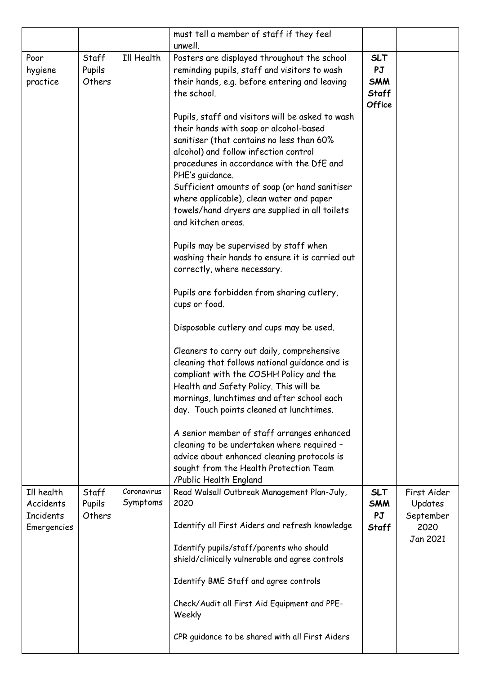|                                      |                           |                         | must tell a member of staff if they feel<br>unwell.                                                                                                                                                                                                                                                                                                                                                                   |                                                                 |                                     |
|--------------------------------------|---------------------------|-------------------------|-----------------------------------------------------------------------------------------------------------------------------------------------------------------------------------------------------------------------------------------------------------------------------------------------------------------------------------------------------------------------------------------------------------------------|-----------------------------------------------------------------|-------------------------------------|
| Poor<br>hygiene<br>practice          | Staff<br>Pupils<br>Others | Ill Health              | Posters are displayed throughout the school<br>reminding pupils, staff and visitors to wash<br>their hands, e.g. before entering and leaving<br>the school.                                                                                                                                                                                                                                                           | <b>SLT</b><br>PJ<br><b>SMM</b><br><b>Staff</b><br><b>Office</b> |                                     |
|                                      |                           |                         | Pupils, staff and visitors will be asked to wash<br>their hands with soap or alcohol-based<br>sanitiser (that contains no less than 60%<br>alcohol) and follow infection control<br>procedures in accordance with the DfE and<br>PHE's guidance.<br>Sufficient amounts of soap (or hand sanitiser<br>where applicable), clean water and paper<br>towels/hand dryers are supplied in all toilets<br>and kitchen areas. |                                                                 |                                     |
|                                      |                           |                         | Pupils may be supervised by staff when<br>washing their hands to ensure it is carried out<br>correctly, where necessary.                                                                                                                                                                                                                                                                                              |                                                                 |                                     |
|                                      |                           |                         | Pupils are forbidden from sharing cutlery,<br>cups or food.                                                                                                                                                                                                                                                                                                                                                           |                                                                 |                                     |
|                                      |                           |                         | Disposable cutlery and cups may be used.                                                                                                                                                                                                                                                                                                                                                                              |                                                                 |                                     |
|                                      |                           |                         | Cleaners to carry out daily, comprehensive<br>cleaning that follows national guidance and is<br>compliant with the COSHH Policy and the<br>Health and Safety Policy. This will be<br>mornings, lunchtimes and after school each<br>day. Touch points cleaned at lunchtimes.                                                                                                                                           |                                                                 |                                     |
|                                      |                           |                         | A senior member of staff arranges enhanced<br>cleaning to be undertaken where required -<br>advice about enhanced cleaning protocols is<br>sought from the Health Protection Team<br>/Public Health England                                                                                                                                                                                                           |                                                                 |                                     |
| Ill health<br>Accidents<br>Incidents | Staff<br>Pupils<br>Others | Coronavirus<br>Symptoms | Read Walsall Outbreak Management Plan-July,<br>2020                                                                                                                                                                                                                                                                                                                                                                   | <b>SLT</b><br><b>SMM</b><br>PJ                                  | First Aider<br>Updates<br>September |
| Emergencies                          |                           |                         | Identify all First Aiders and refresh knowledge                                                                                                                                                                                                                                                                                                                                                                       | Staff                                                           | 2020<br>Jan 2021                    |
|                                      |                           |                         | Identify pupils/staff/parents who should<br>shield/clinically vulnerable and agree controls                                                                                                                                                                                                                                                                                                                           |                                                                 |                                     |
|                                      |                           |                         | Identify BME Staff and agree controls                                                                                                                                                                                                                                                                                                                                                                                 |                                                                 |                                     |
|                                      |                           |                         | Check/Audit all First Aid Equipment and PPE-<br>Weekly                                                                                                                                                                                                                                                                                                                                                                |                                                                 |                                     |
|                                      |                           |                         | CPR guidance to be shared with all First Aiders                                                                                                                                                                                                                                                                                                                                                                       |                                                                 |                                     |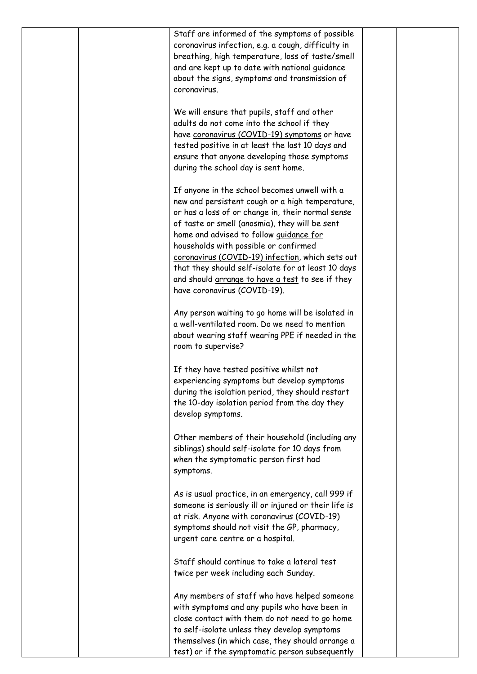| coronavirus. | Staff are informed of the symptoms of possible<br>coronavirus infection, e.g. a cough, difficulty in<br>breathing, high temperature, loss of taste/smell<br>and are kept up to date with national guidance<br>about the signs, symptoms and transmission of                                                                                                                                                                                                                               |  |
|--------------|-------------------------------------------------------------------------------------------------------------------------------------------------------------------------------------------------------------------------------------------------------------------------------------------------------------------------------------------------------------------------------------------------------------------------------------------------------------------------------------------|--|
|              | We will ensure that pupils, staff and other<br>adults do not come into the school if they<br>have coronavirus (COVID-19) symptoms or have<br>tested positive in at least the last 10 days and<br>ensure that anyone developing those symptoms<br>during the school day is sent home.                                                                                                                                                                                                      |  |
|              | If anyone in the school becomes unwell with a<br>new and persistent cough or a high temperature,<br>or has a loss of or change in, their normal sense<br>of taste or smell (anosmia), they will be sent<br>home and advised to follow guidance for<br>households with possible or confirmed<br>coronavirus (COVID-19) infection, which sets out<br>that they should self-isolate for at least 10 days<br>and should arrange to have a test to see if they<br>have coronavirus (COVID-19). |  |
|              | Any person waiting to go home will be isolated in<br>a well-ventilated room. Do we need to mention<br>about wearing staff wearing PPE if needed in the<br>room to supervise?                                                                                                                                                                                                                                                                                                              |  |
|              | If they have tested positive whilst not<br>experiencing symptoms but develop symptoms<br>during the isolation period, they should restart<br>the 10-day isolation period from the day they<br>develop symptoms.                                                                                                                                                                                                                                                                           |  |
| symptoms.    | Other members of their household (including any<br>siblings) should self-isolate for 10 days from<br>when the symptomatic person first had                                                                                                                                                                                                                                                                                                                                                |  |
|              | As is usual practice, in an emergency, call 999 if<br>someone is seriously ill or injured or their life is<br>at risk. Anyone with coronavirus (COVID-19)<br>symptoms should not visit the GP, pharmacy,<br>urgent care centre or a hospital.                                                                                                                                                                                                                                             |  |
|              | Staff should continue to take a lateral test<br>twice per week including each Sunday.                                                                                                                                                                                                                                                                                                                                                                                                     |  |
|              | Any members of staff who have helped someone<br>with symptoms and any pupils who have been in<br>close contact with them do not need to go home<br>to self-isolate unless they develop symptoms<br>themselves (in which case, they should arrange a                                                                                                                                                                                                                                       |  |
|              | test) or if the symptomatic person subsequently                                                                                                                                                                                                                                                                                                                                                                                                                                           |  |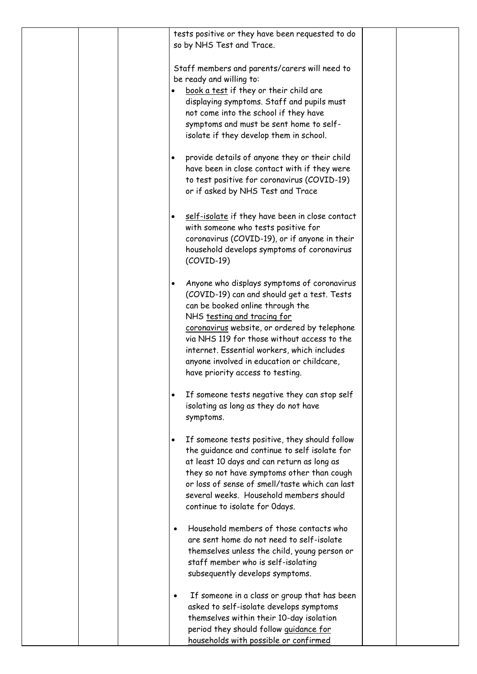|  | tests positive or they have been requested to do<br>so by NHS Test and Trace.                                                                                                                                                                                                                                                                                                                              |
|--|------------------------------------------------------------------------------------------------------------------------------------------------------------------------------------------------------------------------------------------------------------------------------------------------------------------------------------------------------------------------------------------------------------|
|  | Staff members and parents/carers will need to<br>be ready and willing to:<br>book a test if they or their child are<br>displaying symptoms. Staff and pupils must<br>not come into the school if they have<br>symptoms and must be sent home to self-<br>isolate if they develop them in school.                                                                                                           |
|  | provide details of anyone they or their child<br>have been in close contact with if they were<br>to test positive for coronavirus (COVID-19)<br>or if asked by NHS Test and Trace                                                                                                                                                                                                                          |
|  | self-isolate if they have been in close contact<br>$\bullet$<br>with someone who tests positive for<br>coronavirus (COVID-19), or if anyone in their<br>household develops symptoms of coronavirus<br>$(COVID-19)$                                                                                                                                                                                         |
|  | Anyone who displays symptoms of coronavirus<br>$\bullet$<br>(COVID-19) can and should get a test. Tests<br>can be booked online through the<br>NHS testing and tracing for<br>coronavirus website, or ordered by telephone<br>via NHS 119 for those without access to the<br>internet. Essential workers, which includes<br>anyone involved in education or childcare,<br>have priority access to testing. |
|  | If someone tests negative they can stop self<br>isolating as long as they do not have<br>symptoms.                                                                                                                                                                                                                                                                                                         |
|  | If someone tests positive, they should follow<br>$\bullet$<br>the guidance and continue to self isolate for<br>at least 10 days and can return as long as<br>they so not have symptoms other than cough<br>or loss of sense of smell/taste which can last<br>several weeks. Household members should<br>continue to isolate for Odays.                                                                     |
|  | Household members of those contacts who<br>are sent home do not need to self-isolate<br>themselves unless the child, young person or<br>staff member who is self-isolating<br>subsequently develops symptoms.                                                                                                                                                                                              |
|  | If someone in a class or group that has been<br>asked to self-isolate develops symptoms<br>themselves within their 10-day isolation<br>period they should follow quidance for<br>households with possible or confirmed                                                                                                                                                                                     |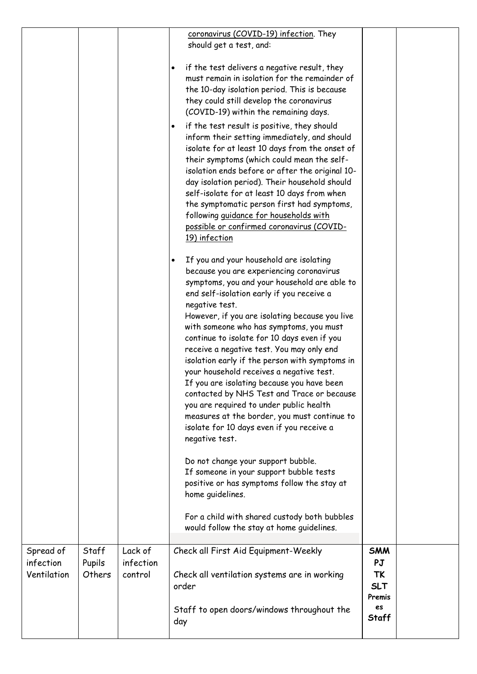|                                       |                           |                                 | coronavirus (COVID-19) infection. They<br>should get a test, and:                                                                                                                                                                                                                                                                                                                                                                                                                                                                                                                                                                                                                                                                                                                                                                                                                                                |                                                       |  |
|---------------------------------------|---------------------------|---------------------------------|------------------------------------------------------------------------------------------------------------------------------------------------------------------------------------------------------------------------------------------------------------------------------------------------------------------------------------------------------------------------------------------------------------------------------------------------------------------------------------------------------------------------------------------------------------------------------------------------------------------------------------------------------------------------------------------------------------------------------------------------------------------------------------------------------------------------------------------------------------------------------------------------------------------|-------------------------------------------------------|--|
|                                       |                           |                                 | if the test delivers a negative result, they<br>$\bullet$<br>must remain in isolation for the remainder of<br>the 10-day isolation period. This is because<br>they could still develop the coronavirus<br>(COVID-19) within the remaining days.                                                                                                                                                                                                                                                                                                                                                                                                                                                                                                                                                                                                                                                                  |                                                       |  |
|                                       |                           |                                 | if the test result is positive, they should<br>$\bullet$<br>inform their setting immediately, and should<br>isolate for at least 10 days from the onset of<br>their symptoms (which could mean the self-<br>isolation ends before or after the original 10-<br>day isolation period). Their household should<br>self-isolate for at least 10 days from when<br>the symptomatic person first had symptoms,<br>following <i>quidance</i> for households with<br>possible or confirmed coronavirus (COVID-<br>19) infection                                                                                                                                                                                                                                                                                                                                                                                         |                                                       |  |
|                                       |                           |                                 | If you and your household are isolating<br>$\bullet$<br>because you are experiencing coronavirus<br>symptoms, you and your household are able to<br>end self-isolation early if you receive a<br>negative test.<br>However, if you are isolating because you live<br>with someone who has symptoms, you must<br>continue to isolate for 10 days even if you<br>receive a negative test. You may only end<br>isolation early if the person with symptoms in<br>your household receives a negative test.<br>If you are isolating because you have been<br>contacted by NHS Test and Trace or because<br>you are required to under public health<br>measures at the border, you must continue to<br>isolate for 10 days even if you receive a<br>negative test.<br>Do not change your support bubble.<br>If someone in your support bubble tests<br>positive or has symptoms follow the stay at<br>home quidelines. |                                                       |  |
|                                       |                           |                                 | For a child with shared custody both bubbles<br>would follow the stay at home guidelines.                                                                                                                                                                                                                                                                                                                                                                                                                                                                                                                                                                                                                                                                                                                                                                                                                        |                                                       |  |
| Spread of<br>infection<br>Ventilation | Staff<br>Pupils<br>Others | Lack of<br>infection<br>control | Check all First Aid Equipment-Weekly<br>Check all ventilation systems are in working<br>order                                                                                                                                                                                                                                                                                                                                                                                                                                                                                                                                                                                                                                                                                                                                                                                                                    | <b>SMM</b><br>PJ<br><b>TK</b><br><b>SLT</b><br>Premis |  |
|                                       |                           |                                 | Staff to open doors/windows throughout the<br>day                                                                                                                                                                                                                                                                                                                                                                                                                                                                                                                                                                                                                                                                                                                                                                                                                                                                | es<br>Staff                                           |  |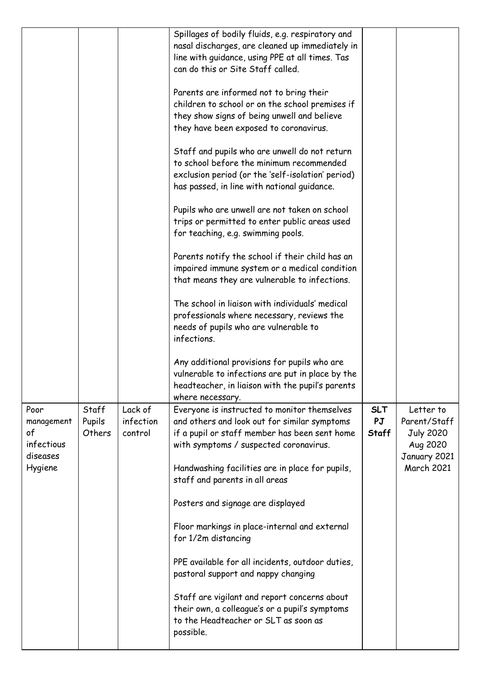|                                                    |                           |                                 | Spillages of bodily fluids, e.g. respiratory and<br>nasal discharges, are cleaned up immediately in<br>line with guidance, using PPE at all times. Tas<br>can do this or Site Staff called.   |                                  |                                                           |
|----------------------------------------------------|---------------------------|---------------------------------|-----------------------------------------------------------------------------------------------------------------------------------------------------------------------------------------------|----------------------------------|-----------------------------------------------------------|
|                                                    |                           |                                 | Parents are informed not to bring their<br>children to school or on the school premises if<br>they show signs of being unwell and believe<br>they have been exposed to coronavirus.           |                                  |                                                           |
|                                                    |                           |                                 | Staff and pupils who are unwell do not return<br>to school before the minimum recommended<br>exclusion period (or the 'self-isolation' period)<br>has passed, in line with national guidance. |                                  |                                                           |
|                                                    |                           |                                 | Pupils who are unwell are not taken on school<br>trips or permitted to enter public areas used<br>for teaching, e.g. swimming pools.                                                          |                                  |                                                           |
|                                                    |                           |                                 | Parents notify the school if their child has an<br>impaired immune system or a medical condition<br>that means they are vulnerable to infections.                                             |                                  |                                                           |
|                                                    |                           |                                 | The school in liaison with individuals' medical<br>professionals where necessary, reviews the<br>needs of pupils who are vulnerable to<br>infections.                                         |                                  |                                                           |
|                                                    |                           |                                 | Any additional provisions for pupils who are<br>vulnerable to infections are put in place by the<br>headteacher, in liaison with the pupil's parents<br>where necessary.                      |                                  |                                                           |
| Poor<br>management<br>of<br>infectious<br>diseases | Staff<br>Pupils<br>Others | Lack of<br>infection<br>control | Everyone is instructed to monitor themselves<br>and others and look out for similar symptoms<br>if a pupil or staff member has been sent home<br>with symptoms / suspected coronavirus.       | <b>SLT</b><br>PJ<br><b>Staff</b> | Letter to<br>Parent/Staff<br><b>July 2020</b><br>Aug 2020 |
| Hygiene                                            |                           |                                 | Handwashing facilities are in place for pupils,<br>staff and parents in all areas                                                                                                             |                                  | January 2021<br><b>March 2021</b>                         |
|                                                    |                           |                                 | Posters and signage are displayed                                                                                                                                                             |                                  |                                                           |
|                                                    |                           |                                 | Floor markings in place-internal and external<br>for 1/2m distancing                                                                                                                          |                                  |                                                           |
|                                                    |                           |                                 | PPE available for all incidents, outdoor duties,<br>pastoral support and nappy changing                                                                                                       |                                  |                                                           |
|                                                    |                           |                                 | Staff are vigilant and report concerns about<br>their own, a colleague's or a pupil's symptoms<br>to the Headteacher or SLT as soon as<br>possible.                                           |                                  |                                                           |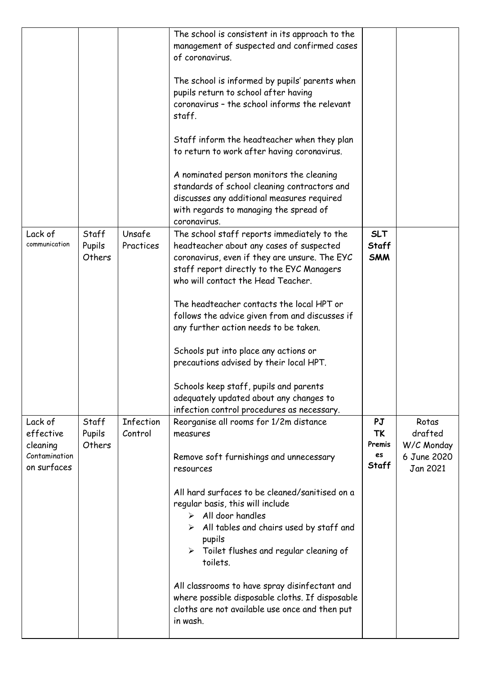|                                                                  |                           |                             | The school is consistent in its approach to the<br>management of suspected and confirmed cases<br>of coronavirus.<br>The school is informed by pupils' parents when<br>pupils return to school after having<br>coronavirus - the school informs the relevant<br>staff.<br>Staff inform the headteacher when they plan<br>to return to work after having coronavirus.<br>A nominated person monitors the cleaning<br>standards of school cleaning contractors and<br>discusses any additional measures required<br>with regards to managing the spread of<br>coronavirus.                   |                                                 |                                                           |
|------------------------------------------------------------------|---------------------------|-----------------------------|--------------------------------------------------------------------------------------------------------------------------------------------------------------------------------------------------------------------------------------------------------------------------------------------------------------------------------------------------------------------------------------------------------------------------------------------------------------------------------------------------------------------------------------------------------------------------------------------|-------------------------------------------------|-----------------------------------------------------------|
| Lack of<br>communication                                         | Staff<br>Pupils<br>Others | Unsafe<br>Practices         | The school staff reports immediately to the<br>headteacher about any cases of suspected<br>coronavirus, even if they are unsure. The EYC<br>staff report directly to the EYC Managers<br>who will contact the Head Teacher.<br>The headteacher contacts the local HPT or<br>follows the advice given from and discusses if<br>any further action needs to be taken.<br>Schools put into place any actions or<br>precautions advised by their local HPT.<br>Schools keep staff, pupils and parents<br>adequately updated about any changes to<br>infection control procedures as necessary. | <b>SLT</b><br><b>Staff</b><br><b>SMM</b>        |                                                           |
| Lack of<br>effective<br>cleaning<br>Contamination<br>on surfaces | Staff<br>Pupils<br>Others | <b>Infection</b><br>Control | Reorganise all rooms for 1/2m distance<br>measures<br>Remove soft furnishings and unnecessary<br>resources<br>All hard surfaces to be cleaned/sanitised on a<br>regular basis, this will include<br>$\triangleright$ All door handles<br>All tables and chairs used by staff and<br>➤<br>pupils<br>Toilet flushes and regular cleaning of<br>toilets.<br>All classrooms to have spray disinfectant and<br>where possible disposable cloths. If disposable<br>cloths are not available use once and then put<br>in wash.                                                                    | PJ<br><b>TK</b><br>Premis<br>es<br><b>Staff</b> | Rotas<br>drafted<br>W/C Monday<br>6 June 2020<br>Jan 2021 |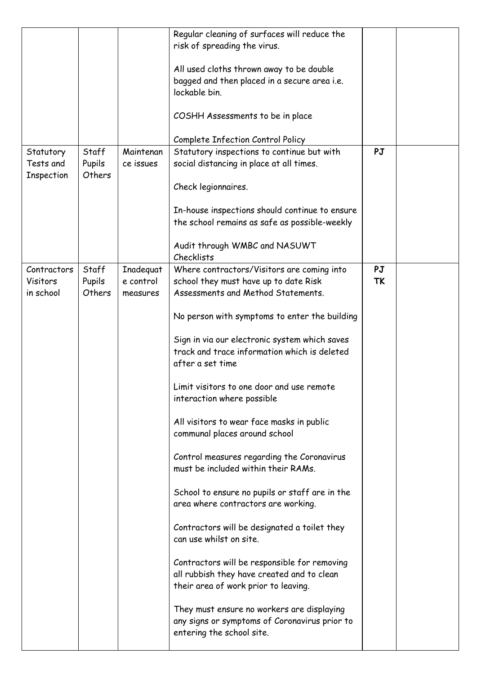|                                      |                           |                        | Regular cleaning of surfaces will reduce the<br>risk of spreading the virus.                                                       |                 |  |
|--------------------------------------|---------------------------|------------------------|------------------------------------------------------------------------------------------------------------------------------------|-----------------|--|
|                                      |                           |                        | All used cloths thrown away to be double<br>bagged and then placed in a secure area i.e.<br>lockable bin.                          |                 |  |
|                                      |                           |                        | COSHH Assessments to be in place                                                                                                   |                 |  |
|                                      |                           |                        | Complete Infection Control Policy                                                                                                  |                 |  |
| Statutory<br>Tests and<br>Inspection | Staff<br>Pupils<br>Others | Maintenan<br>ce issues | Statutory inspections to continue but with<br>social distancing in place at all times.                                             | PJ              |  |
|                                      |                           |                        | Check legionnaires.                                                                                                                |                 |  |
|                                      |                           |                        | In-house inspections should continue to ensure<br>the school remains as safe as possible-weekly                                    |                 |  |
|                                      |                           |                        | Audit through WMBC and NASUWT<br>Checklists                                                                                        |                 |  |
| Contractors<br>Visitors              | Staff                     | Inadequat<br>e control | Where contractors/Visitors are coming into                                                                                         | PJ<br><b>TK</b> |  |
| in school                            | Pupils<br>Others          | measures               | school they must have up to date Risk<br>Assessments and Method Statements.                                                        |                 |  |
|                                      |                           |                        | No person with symptoms to enter the building                                                                                      |                 |  |
|                                      |                           |                        | Sign in via our electronic system which saves<br>track and trace information which is deleted<br>after a set time                  |                 |  |
|                                      |                           |                        | Limit visitors to one door and use remote<br>interaction where possible                                                            |                 |  |
|                                      |                           |                        | All visitors to wear face masks in public<br>communal places around school                                                         |                 |  |
|                                      |                           |                        | Control measures regarding the Coronavirus<br>must be included within their RAMs.                                                  |                 |  |
|                                      |                           |                        | School to ensure no pupils or staff are in the<br>area where contractors are working.                                              |                 |  |
|                                      |                           |                        | Contractors will be designated a toilet they<br>can use whilst on site.                                                            |                 |  |
|                                      |                           |                        | Contractors will be responsible for removing<br>all rubbish they have created and to clean<br>their area of work prior to leaving. |                 |  |
|                                      |                           |                        | They must ensure no workers are displaying<br>any signs or symptoms of Coronavirus prior to<br>entering the school site.           |                 |  |